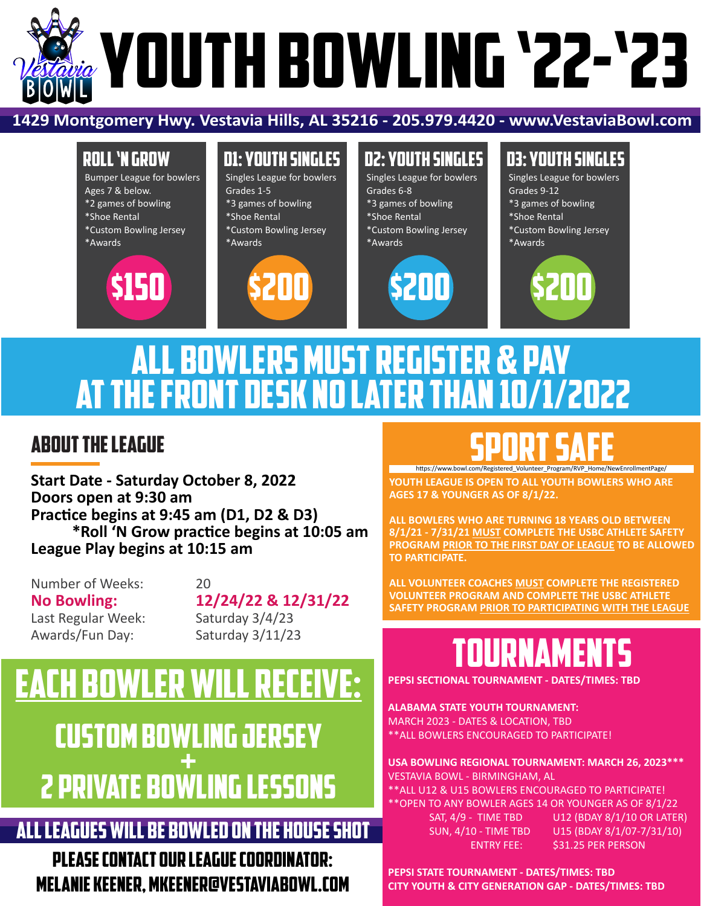# **WOUTH BOWLING '22-'23**

### **1429 Montgomery Hwy. Vestavia Hills, AL 35216 - 205.979.4420 - www.VestaviaBowl.com**

### ROLL 'N GROW

Bumper League for bowlers Ages 7 & below. \*2 games of bowling \*Shoe Rental \*Custom Bowling Jersey \*Awards



# D1: YOUTH SINGLES

Singles League for bowlers Grades 1-5 \*3 games of bowling \*Shoe Rental \*Custom Bowling Jersey \*Awards



# D2: YOUTH SINGLES

Singles League for bowlers Grades 6-8 \*3 games of bowling \*Shoe Rental \*Custom Bowling Jersey \*Awards



### D3: YOUTH SINGLES

Singles League for bowlers Grades 9-12 \*3 games of bowling \*Shoe Rental \*Custom Bowling Jersey \*Awards



# ALL BOWLERS MUST REGISTER & PAY AT THE FRONT DESK NO LATER THAN 10/1/2022

### ABOUT THE LEAGUE

**Start Date - Saturday October 8, 2022 Doors open at 9:30 am Prac�ce begins at 9:45 am (D1, D2 & D3) \*Roll 'N Grow prac�ce begins at 10:05 am League Play begins at 10:15 am**

Number of Weeks: 20 **No Bowling:** 12/24/22 & 12/31/22<br>Last Regular Week: Saturday 3/4/23 Last Regular Week: Awards/Fun Day: Saturday 3/11/23

# each bowler will receive: custom bowling jersey  $\frac{1}{\sqrt{2}}$ 2 private bowling lessons

## ALL LEAGUES WILL BE BOWLED ON THE HOUSE SHOT

PLEASE CONTACT OUR LEAGUE COORDINATOR: MELANIE KEENER, MKEENER@VESTAVIABOWL.COM

# SPORT SAFE h�ps://www.bowl.com/Registered\_Volunteer\_Program/RVP\_Home/NewEnrollmentPage/

**YOUTH LEAGUE IS OPEN TO ALL YOUTH BOWLERS WHO ARE AGES 17 & YOUNGER AS OF 8/1/22.**

**ALL BOWLERS WHO ARE TURNING 18 YEARS OLD BETWEEN 8/1/21 - 7/31/21 MUST COMPLETE THE USBC ATHLETE SAFETY PROGRAM PRIOR TO THE FIRST DAY OF LEAGUE TO BE ALLOWED TO PARTICIPATE.**

**ALL VOLUNTEER COACHES MUST COMPLETE THE REGISTERED VOLUNTEER PROGRAM AND COMPLETE THE USBC ATHLETE SAFETY PROGRAM PRIOR TO PARTICIPATING WITH THE LEAGUE**

# TOURNAMEN

**PEPSI SECTIONAL TOURNAMENT - DATES/TIMES: TBD**

**ALABAMA STATE YOUTH TOURNAMENT:**  MARCH 2023 - DATES & LOCATION, TBD

\*\*ALL BOWLERS ENCOURAGED TO PARTICIPATE!

### **USA BOWLING REGIONAL TOURNAMENT: MARCH 26, 2023\*\*\*** VESTAVIA BOWL - BIRMINGHAM, AL

\*\* ALL U12 &<br>1757 TO A \*\* OPEN TO A \*\*<br>54T, a : \*\*ALL U12 & U15 BOWLERS ENCOURAGED TO PARTICIPATE! \*\*OPEN TO ANY BOWLER AGES 14 OR YOUNGER AS OF 8/1/22

 SAT, 4/9 - TIME TBD U12 (BDAY 8/1/10 OR LATER) SUN, 4/10 - TIME TBD U15 (BDAY 8/1/07-7/31/10) ENTRY FEE: \$31.25 PER PERSON

**PEPSI STATE TOURNAMENT - DATES/TIMES: TBD CITY YOUTH & CITY GENERATION GAP - DATES/TIMES: TBD**